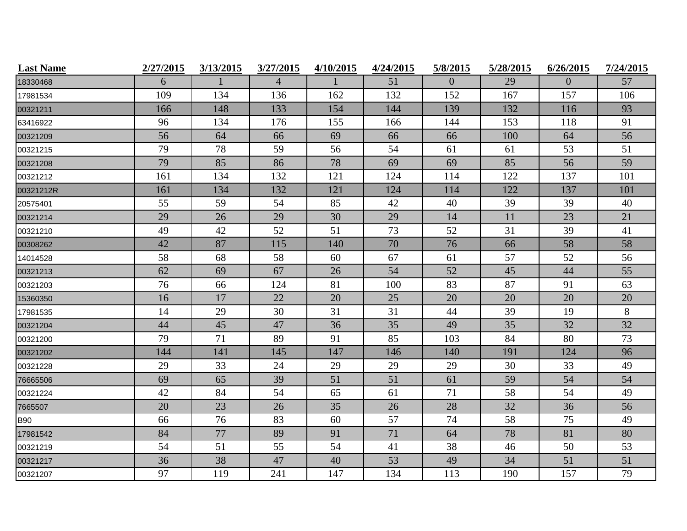| <b>Last Name</b> | 2/27/2015 | 3/13/2015 | 3/27/2015      | 4/10/2015 | 4/24/2015 | 5/8/2015 | 5/28/2015 | 6/26/2015      | 7/24/2015 |
|------------------|-----------|-----------|----------------|-----------|-----------|----------|-----------|----------------|-----------|
| 18330468         | 6         |           | $\overline{4}$ |           | 51        | $\Omega$ | 29        | $\overline{0}$ | 57        |
| 17981534         | 109       | 134       | 136            | 162       | 132       | 152      | 167       | 157            | 106       |
| 00321211         | 166       | 148       | 133            | 154       | 144       | 139      | 132       | 116            | 93        |
| 63416922         | 96        | 134       | 176            | 155       | 166       | 144      | 153       | 118            | 91        |
| 00321209         | 56        | 64        | 66             | 69        | 66        | 66       | 100       | 64             | 56        |
| 00321215         | 79        | 78        | 59             | 56        | 54        | 61       | 61        | 53             | 51        |
| 00321208         | 79        | 85        | 86             | 78        | 69        | 69       | 85        | 56             | 59        |
| 00321212         | 161       | 134       | 132            | 121       | 124       | 114      | 122       | 137            | 101       |
| 00321212R        | 161       | 134       | 132            | 121       | 124       | 114      | 122       | 137            | 101       |
| 20575401         | 55        | 59        | 54             | 85        | 42        | 40       | 39        | 39             | 40        |
| 00321214         | 29        | 26        | 29             | 30        | 29        | 14       | 11        | 23             | 21        |
| 00321210         | 49        | 42        | 52             | 51        | 73        | 52       | 31        | 39             | 41        |
| 00308262         | 42        | 87        | 115            | 140       | 70        | 76       | 66        | 58             | 58        |
| 14014528         | 58        | 68        | 58             | 60        | 67        | 61       | 57        | 52             | 56        |
| 00321213         | 62        | 69        | 67             | 26        | 54        | 52       | 45        | 44             | 55        |
| 00321203         | 76        | 66        | 124            | 81        | 100       | 83       | 87        | 91             | 63        |
| 15360350         | 16        | 17        | 22             | 20        | 25        | 20       | 20        | 20             | 20        |
| 17981535         | 14        | 29        | 30             | 31        | 31        | 44       | 39        | 19             | $8\,$     |
| 00321204         | 44        | 45        | 47             | 36        | 35        | 49       | 35        | 32             | 32        |
| 00321200         | 79        | 71        | 89             | 91        | 85        | 103      | 84        | 80             | 73        |
| 00321202         | 144       | 141       | 145            | 147       | 146       | 140      | 191       | 124            | 96        |
| 00321228         | 29        | 33        | 24             | 29        | 29        | 29       | 30        | 33             | 49        |
| 76665506         | 69        | 65        | 39             | 51        | 51        | 61       | 59        | 54             | 54        |
| 00321224         | 42        | 84        | 54             | 65        | 61        | 71       | 58        | 54             | 49        |
| 7665507          | 20        | 23        | 26             | 35        | 26        | 28       | 32        | 36             | 56        |
| <b>B90</b>       | 66        | 76        | 83             | 60        | 57        | 74       | 58        | 75             | 49        |
| 17981542         | 84        | 77        | 89             | 91        | 71        | 64       | 78        | 81             | 80        |
| 00321219         | 54        | 51        | 55             | 54        | 41        | 38       | 46        | 50             | 53        |
| 00321217         | 36        | 38        | 47             | 40        | 53        | 49       | 34        | 51             | 51        |
| 00321207         | 97        | 119       | 241            | 147       | 134       | 113      | 190       | 157            | 79        |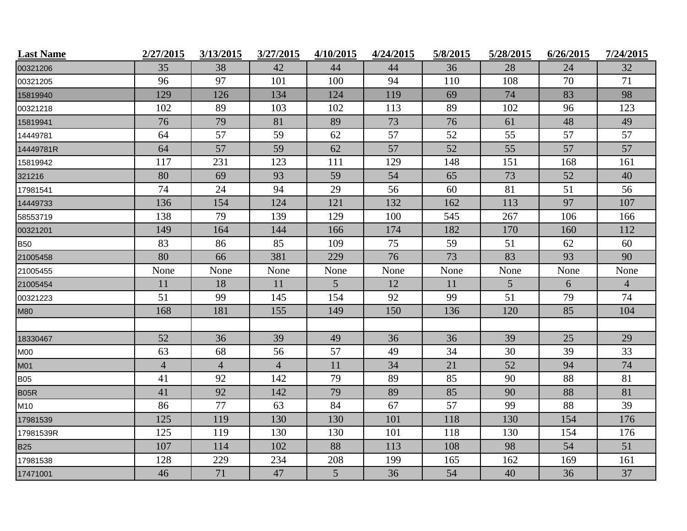| <b>Last Name</b> | 2/27/2015      | 3/13/2015      | 3/27/2015      | 4/10/2015 | 4/24/2015 | 5/8/2015 | 5/28/2015       | 6/26/2015 | 7/24/2015      |
|------------------|----------------|----------------|----------------|-----------|-----------|----------|-----------------|-----------|----------------|
| 00321206         | 35             | 38             | 42             | 44        | 44        | 36       | 28              | 24        | 32             |
| 00321205         | 96             | 97             | 101            | 100       | 94        | 110      | 108             | 70        | 71             |
| 15819940         | 129            | 126            | 134            | 124       | 119       | 69       | 74              | 83        | 98             |
| 00321218         | 102            | 89             | 103            | 102       | 113       | 89       | 102             | 96        | 123            |
| 15819941         | 76             | 79             | 81             | 89        | 73        | 76       | 61              | 48        | 49             |
| 14449781         | 64             | 57             | 59             | 62        | 57        | 52       | 55              | 57        | 57             |
| 14449781R        | 64             | 57             | 59             | 62        | 57        | 52       | 55              | 57        | 57             |
| 15819942         | 117            | 231            | 123            | 111       | 129       | 148      | 151             | 168       | 161            |
| 321216           | 80             | 69             | 93             | 59        | 54        | 65       | 73              | 52        | 40             |
| 17981541         | 74             | 24             | 94             | 29        | 56        | 60       | 81              | 51        | 56             |
| 14449733         | 136            | 154            | 124            | 121       | 132       | 162      | 113             | 97        | 107            |
| 58553719         | 138            | 79             | 139            | 129       | 100       | 545      | 267             | 106       | 166            |
| 00321201         | 149            | 164            | 144            | 166       | 174       | 182      | 170             | 160       | 112            |
| <b>B50</b>       | 83             | 86             | 85             | 109       | 75        | 59       | 51              | 62        | 60             |
| 21005458         | 80             | 66             | 381            | 229       | 76        | 73       | 83              | 93        | 90             |
| 21005455         | None           | None           | None           | None      | None      | None     | None            | None      | None           |
| 21005454         | 11             | 18             | 11             | 5         | 12        | 11       | $5\overline{)}$ | 6         | $\overline{4}$ |
| 00321223         | 51             | 99             | 145            | 154       | 92        | 99       | 51              | 79        | 74             |
| <b>M80</b>       | 168            | 181            | 155            | 149       | 150       | 136      | 120             | 85        | 104            |
|                  |                |                |                |           |           |          |                 |           |                |
| 18330467         | 52             | 36             | 39             | 49        | 36        | 36       | 39              | 25        | 29             |
| <b>M00</b>       | 63             | 68             | 56             | 57        | 49        | 34       | 30              | 39        | 33             |
| M01              | $\overline{4}$ | $\overline{4}$ | $\overline{4}$ | 11        | 34        | 21       | 52              | 94        | 74             |
| <b>B05</b>       | 41             | 92             | 142            | 79        | 89        | 85       | 90              | 88        | 81             |
| B05R             | 41             | 92             | 142            | 79        | 89        | 85       | 90              | 88        | 81             |
| M10              | 86             | 77             | 63             | 84        | 67        | 57       | 99              | 88        | 39             |
| 17981539         | 125            | 119            | 130            | 130       | 101       | 118      | 130             | 154       | 176            |
| 17981539R        | 125            | 119            | 130            | 130       | 101       | 118      | 130             | 154       | 176            |
| <b>B25</b>       | 107            | 114            | 102            | 88        | 113       | 108      | 98              | 54        | 51             |
| 17981538         | 128            | 229            | 234            | 208       | 199       | 165      | 162             | 169       | 161            |
| 17471001         | 46             | 71             | 47             | 5         | 36        | 54       | 40              | 36        | 37             |